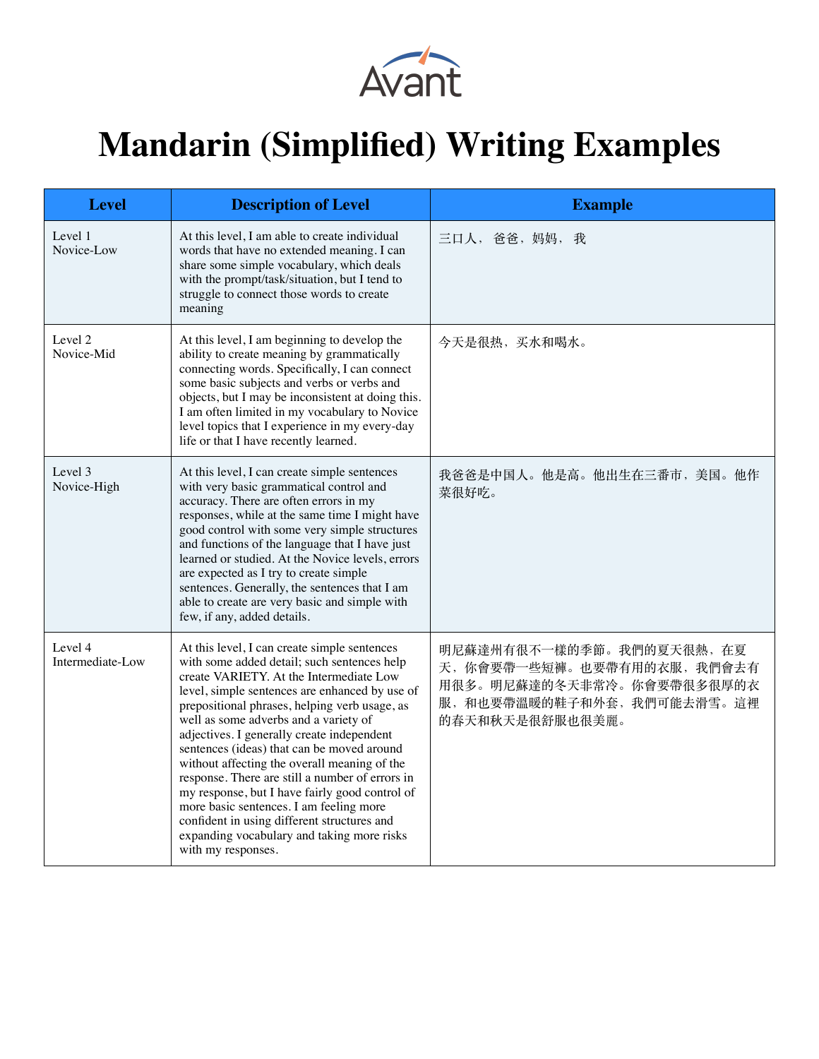

## **Mandarin (Simplified) Writing Examples**

| <b>Level</b>                | <b>Description of Level</b>                                                                                                                                                                                                                                                                                                                                                                                                                                                                                                                                                                                                                                                                       | <b>Example</b>                                                                                                                       |
|-----------------------------|---------------------------------------------------------------------------------------------------------------------------------------------------------------------------------------------------------------------------------------------------------------------------------------------------------------------------------------------------------------------------------------------------------------------------------------------------------------------------------------------------------------------------------------------------------------------------------------------------------------------------------------------------------------------------------------------------|--------------------------------------------------------------------------------------------------------------------------------------|
| Level 1<br>Novice-Low       | At this level, I am able to create individual<br>words that have no extended meaning. I can<br>share some simple vocabulary, which deals<br>with the prompt/task/situation, but I tend to<br>struggle to connect those words to create<br>meaning                                                                                                                                                                                                                                                                                                                                                                                                                                                 | 三口人, 爸爸, 妈妈, 我                                                                                                                       |
| Level 2<br>Novice-Mid       | At this level, I am beginning to develop the<br>ability to create meaning by grammatically<br>connecting words. Specifically, I can connect<br>some basic subjects and verbs or verbs and<br>objects, but I may be inconsistent at doing this.<br>I am often limited in my vocabulary to Novice<br>level topics that I experience in my every-day<br>life or that I have recently learned.                                                                                                                                                                                                                                                                                                        | 今天是很热, 买水和喝水。                                                                                                                        |
| Level 3<br>Novice-High      | At this level, I can create simple sentences<br>with very basic grammatical control and<br>accuracy. There are often errors in my<br>responses, while at the same time I might have<br>good control with some very simple structures<br>and functions of the language that I have just<br>learned or studied. At the Novice levels, errors<br>are expected as I try to create simple<br>sentences. Generally, the sentences that I am<br>able to create are very basic and simple with<br>few, if any, added details.                                                                                                                                                                             | 我爸爸是中国人。他是高。他出生在三番市, 美国。他作<br>菜很好吃。                                                                                                  |
| Level 4<br>Intermediate-Low | At this level, I can create simple sentences<br>with some added detail; such sentences help<br>create VARIETY. At the Intermediate Low<br>level, simple sentences are enhanced by use of<br>prepositional phrases, helping verb usage, as<br>well as some adverbs and a variety of<br>adjectives. I generally create independent<br>sentences (ideas) that can be moved around<br>without affecting the overall meaning of the<br>response. There are still a number of errors in<br>my response, but I have fairly good control of<br>more basic sentences. I am feeling more<br>confident in using different structures and<br>expanding vocabulary and taking more risks<br>with my responses. | 明尼蘇達州有很不一樣的季節。我們的夏天很熱,在夏<br>天, 你會要帶一些短褲。也要帶有用的衣服, 我們會去有<br>用很多。明尼蘇達的冬天非常冷。你會要帶很多很厚的衣<br>服,和也要帶溫暖的鞋子和外套,我們可能去滑雪。這裡<br>的春天和秋天是很舒服也很美麗。 |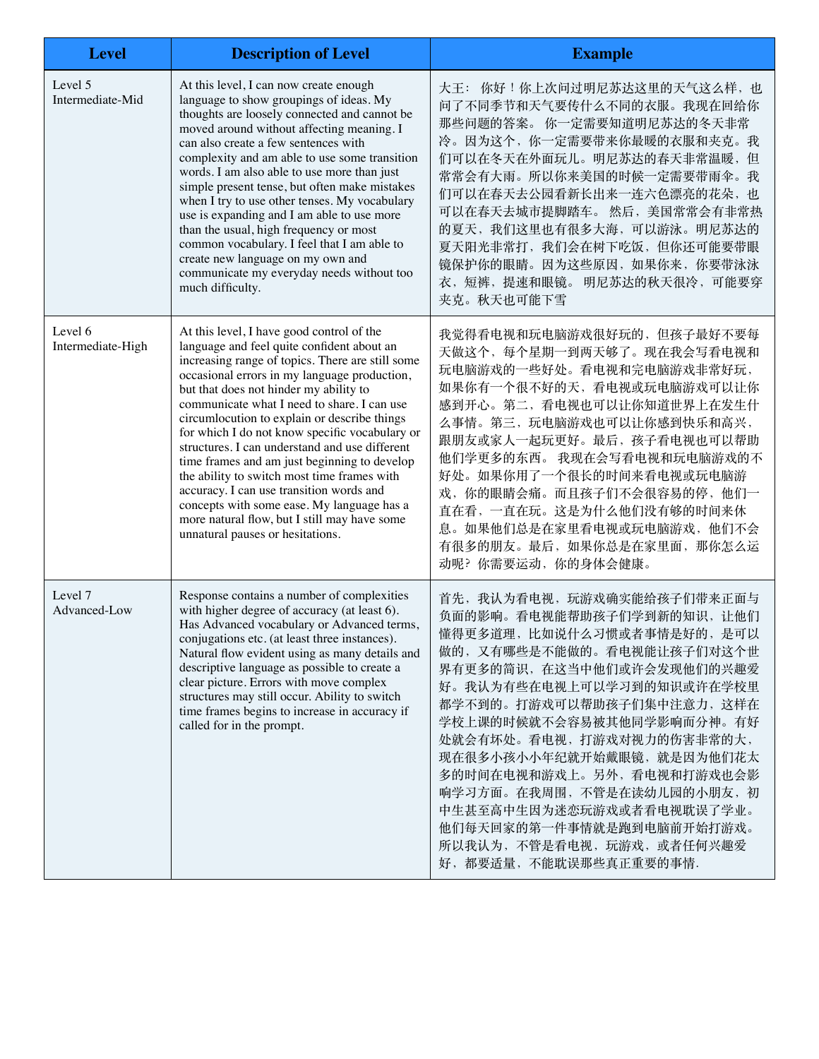| <b>Level</b>                 | <b>Description of Level</b>                                                                                                                                                                                                                                                                                                                                                                                                                                                                                                                                                                                                                                                                                           | <b>Example</b>                                                                                                                                                                                                                                                                                                                                                                                                                                                                   |
|------------------------------|-----------------------------------------------------------------------------------------------------------------------------------------------------------------------------------------------------------------------------------------------------------------------------------------------------------------------------------------------------------------------------------------------------------------------------------------------------------------------------------------------------------------------------------------------------------------------------------------------------------------------------------------------------------------------------------------------------------------------|----------------------------------------------------------------------------------------------------------------------------------------------------------------------------------------------------------------------------------------------------------------------------------------------------------------------------------------------------------------------------------------------------------------------------------------------------------------------------------|
| Level 5<br>Intermediate-Mid  | At this level, I can now create enough<br>language to show groupings of ideas. My<br>thoughts are loosely connected and cannot be<br>moved around without affecting meaning. I<br>can also create a few sentences with<br>complexity and am able to use some transition<br>words. I am also able to use more than just<br>simple present tense, but often make mistakes<br>when I try to use other tenses. My vocabulary<br>use is expanding and I am able to use more<br>than the usual, high frequency or most<br>common vocabulary. I feel that I am able to<br>create new language on my own and<br>communicate my everyday needs without too<br>much difficulty.                                                 | 大王: 你好!你上次问过明尼苏达这里的天气这么样, 也<br>问了不同季节和天气要传什么不同的衣服。我现在回给你<br>那些问题的答案。你一定需要知道明尼苏达的冬天非常<br>冷。因为这个, 你一定需要带来你最暖的衣服和夹克。我<br>们可以在冬天在外面玩儿。明尼苏达的春天非常温暖, 但<br>常常会有大雨。所以你来美国的时候一定需要带雨伞。我<br>们可以在春天去公园看新长出来一连六色漂亮的花朵, 也<br>可以在春天去城市提脚踏车。然后,美国常常会有非常热<br>的夏天, 我们这里也有很多大海, 可以游泳。明尼苏达的<br>夏天阳光非常打, 我们会在树下吃饭, 但你还可能要带眼<br>镜保护你的眼睛。因为这些原因, 如果你来, 你要带泳泳<br>衣,短裤,提速和眼镜。明尼苏达的秋天很冷,可能要穿<br>夹克。秋天也可能下雪                                                                                                 |
| Level 6<br>Intermediate-High | At this level, I have good control of the<br>language and feel quite confident about an<br>increasing range of topics. There are still some<br>occasional errors in my language production,<br>but that does not hinder my ability to<br>communicate what I need to share. I can use<br>circumlocution to explain or describe things<br>for which I do not know specific vocabulary or<br>structures. I can understand and use different<br>time frames and am just beginning to develop<br>the ability to switch most time frames with<br>accuracy. I can use transition words and<br>concepts with some ease. My language has a<br>more natural flow, but I still may have some<br>unnatural pauses or hesitations. | 我觉得看电视和玩电脑游戏很好玩的, 但孩子最好不要每<br>天做这个, 每个星期一到两天够了。现在我会写看电视和<br>玩电脑游戏的一些好处。看电视和完电脑游戏非常好玩,<br>如果你有一个很不好的天,看电视或玩电脑游戏可以让你<br>感到开心。第二,看电视也可以让你知道世界上在发生什<br>么事情。第三,玩电脑游戏也可以让你感到快乐和高兴,<br>跟朋友或家人一起玩更好。最后, 孩子看电视也可以帮助<br>他们学更多的东西。我现在会写看电视和玩电脑游戏的不<br>好处。如果你用了一个很长的时间来看电视或玩电脑游<br>戏, 你的眼睛会痛。而且孩子们不会很容易的停, 他们一<br>直在看,一直在玩。这是为什么他们没有够的时间来休<br>息。如果他们总是在家里看电视或玩电脑游戏, 他们不会<br>有很多的朋友。最后, 如果你总是在家里面, 那你怎么运<br>动呢?你需要运动,你的身体会健康。                                                                 |
| Level 7<br>Advanced-Low      | Response contains a number of complexities<br>with higher degree of accuracy (at least 6).<br>Has Advanced vocabulary or Advanced terms,<br>conjugations etc. (at least three instances).<br>Natural flow evident using as many details and<br>descriptive language as possible to create a<br>clear picture. Errors with move complex<br>structures may still occur. Ability to switch<br>time frames begins to increase in accuracy if<br>called for in the prompt.                                                                                                                                                                                                                                                 | 首先,我认为看电视,玩游戏确实能给孩子们带来正面与<br>负面的影响。看电视能帮助孩子们学到新的知识, 让他们<br>懂得更多道理, 比如说什么习惯或者事情是好的, 是可以<br>做的, 又有哪些是不能做的。看电视能让孩子们对这个世<br>界有更多的简识, 在这当中他们或许会发现他们的兴趣爱<br>好。我认为有些在电视上可以学习到的知识或许在学校里<br>都学不到的。打游戏可以帮助孩子们集中注意力,这样在<br>学校上课的时候就不会容易被其他同学影响而分神。有好<br>处就会有坏处。看电视,打游戏对视力的伤害非常的大,<br>现在很多小孩小小年纪就开始戴眼镜, 就是因为他们花太<br>多的时间在电视和游戏上。另外,看电视和打游戏也会影<br>响学习方面。在我周围,不管是在读幼儿园的小朋友,初<br>中生甚至高中生因为迷恋玩游戏或者看电视耽误了学业。<br>他们每天回家的第一件事情就是跑到电脑前开始打游戏。<br>所以我认为, 不管是看电视, 玩游戏, 或者任何兴趣爱<br>好,都要适量,不能耽误那些真正重要的事情. |